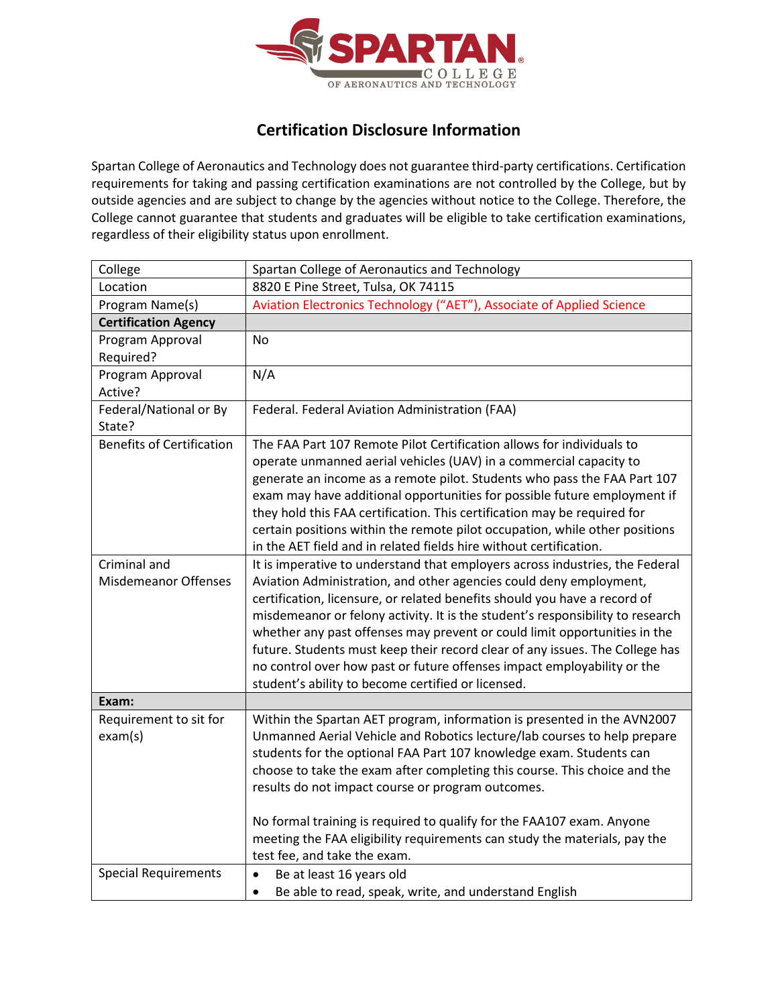

## **Certification Disclosure Information**

Spartan College of Aeronautics and Technology does not guarantee third-party certifications. Certification requirements for taking and passing certification examinations are not controlled by the College, but by outside agencies and are subject to change by the agencies without notice to the College. Therefore, the College cannot guarantee that students and graduates will be eligible to take certification examinations, regardless of their eligibility status upon enrollment.

| College                          | Spartan College of Aeronautics and Technology                                                                                                               |
|----------------------------------|-------------------------------------------------------------------------------------------------------------------------------------------------------------|
| Location                         | 8820 E Pine Street, Tulsa, OK 74115                                                                                                                         |
| Program Name(s)                  | Aviation Electronics Technology ("AET"), Associate of Applied Science                                                                                       |
| <b>Certification Agency</b>      |                                                                                                                                                             |
| Program Approval                 | No.                                                                                                                                                         |
| Required?                        |                                                                                                                                                             |
| Program Approval                 | N/A                                                                                                                                                         |
| Active?                          |                                                                                                                                                             |
| Federal/National or By<br>State? | Federal. Federal Aviation Administration (FAA)                                                                                                              |
| <b>Benefits of Certification</b> | The FAA Part 107 Remote Pilot Certification allows for individuals to                                                                                       |
|                                  | operate unmanned aerial vehicles (UAV) in a commercial capacity to                                                                                          |
|                                  | generate an income as a remote pilot. Students who pass the FAA Part 107                                                                                    |
|                                  | exam may have additional opportunities for possible future employment if                                                                                    |
|                                  | they hold this FAA certification. This certification may be required for                                                                                    |
|                                  | certain positions within the remote pilot occupation, while other positions                                                                                 |
|                                  | in the AET field and in related fields hire without certification.                                                                                          |
| Criminal and                     | It is imperative to understand that employers across industries, the Federal                                                                                |
| <b>Misdemeanor Offenses</b>      | Aviation Administration, and other agencies could deny employment,                                                                                          |
|                                  | certification, licensure, or related benefits should you have a record of<br>misdemeanor or felony activity. It is the student's responsibility to research |
|                                  | whether any past offenses may prevent or could limit opportunities in the                                                                                   |
|                                  | future. Students must keep their record clear of any issues. The College has                                                                                |
|                                  | no control over how past or future offenses impact employability or the                                                                                     |
|                                  | student's ability to become certified or licensed.                                                                                                          |
| Exam:                            |                                                                                                                                                             |
| Requirement to sit for           | Within the Spartan AET program, information is presented in the AVN2007                                                                                     |
| exam(s)                          | Unmanned Aerial Vehicle and Robotics lecture/lab courses to help prepare                                                                                    |
|                                  | students for the optional FAA Part 107 knowledge exam. Students can                                                                                         |
|                                  | choose to take the exam after completing this course. This choice and the                                                                                   |
|                                  | results do not impact course or program outcomes.                                                                                                           |
|                                  |                                                                                                                                                             |
|                                  | No formal training is required to qualify for the FAA107 exam. Anyone                                                                                       |
|                                  | meeting the FAA eligibility requirements can study the materials, pay the                                                                                   |
|                                  | test fee, and take the exam.                                                                                                                                |
| <b>Special Requirements</b>      | Be at least 16 years old<br>$\bullet$                                                                                                                       |
|                                  | Be able to read, speak, write, and understand English<br>$\bullet$                                                                                          |